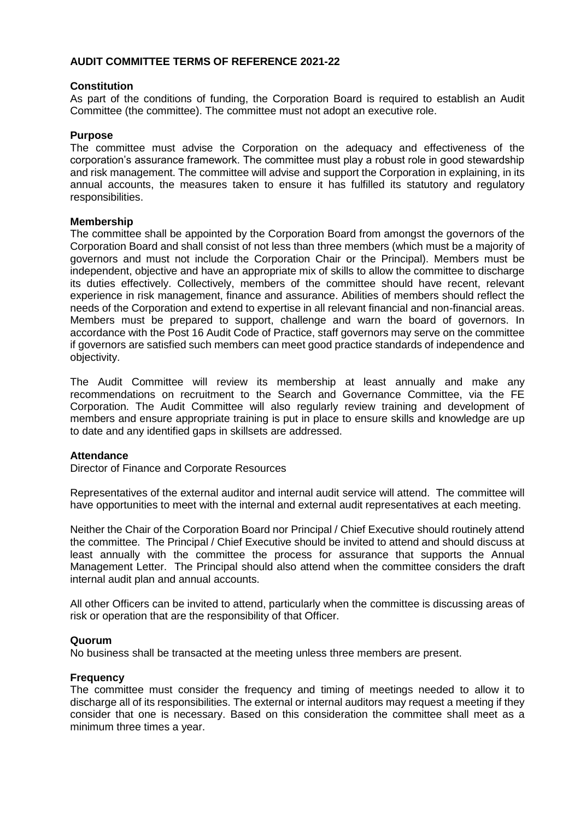# **AUDIT COMMITTEE TERMS OF REFERENCE 2021-22**

## **Constitution**

As part of the conditions of funding, the Corporation Board is required to establish an Audit Committee (the committee). The committee must not adopt an executive role.

### **Purpose**

The committee must advise the Corporation on the adequacy and effectiveness of the corporation's assurance framework. The committee must play a robust role in good stewardship and risk management. The committee will advise and support the Corporation in explaining, in its annual accounts, the measures taken to ensure it has fulfilled its statutory and regulatory responsibilities.

### **Membership**

The committee shall be appointed by the Corporation Board from amongst the governors of the Corporation Board and shall consist of not less than three members (which must be a majority of governors and must not include the Corporation Chair or the Principal). Members must be independent, objective and have an appropriate mix of skills to allow the committee to discharge its duties effectively. Collectively, members of the committee should have recent, relevant experience in risk management, finance and assurance. Abilities of members should reflect the needs of the Corporation and extend to expertise in all relevant financial and non-financial areas. Members must be prepared to support, challenge and warn the board of governors. In accordance with the Post 16 Audit Code of Practice, staff governors may serve on the committee if governors are satisfied such members can meet good practice standards of independence and objectivity.

The Audit Committee will review its membership at least annually and make any recommendations on recruitment to the Search and Governance Committee, via the FE Corporation. The Audit Committee will also regularly review training and development of members and ensure appropriate training is put in place to ensure skills and knowledge are up to date and any identified gaps in skillsets are addressed.

### **Attendance**

Director of Finance and Corporate Resources

Representatives of the external auditor and internal audit service will attend. The committee will have opportunities to meet with the internal and external audit representatives at each meeting.

Neither the Chair of the Corporation Board nor Principal / Chief Executive should routinely attend the committee. The Principal / Chief Executive should be invited to attend and should discuss at least annually with the committee the process for assurance that supports the Annual Management Letter. The Principal should also attend when the committee considers the draft internal audit plan and annual accounts.

All other Officers can be invited to attend, particularly when the committee is discussing areas of risk or operation that are the responsibility of that Officer.

### **Quorum**

No business shall be transacted at the meeting unless three members are present.

### **Frequency**

The committee must consider the frequency and timing of meetings needed to allow it to discharge all of its responsibilities. The external or internal auditors may request a meeting if they consider that one is necessary. Based on this consideration the committee shall meet as a minimum three times a year.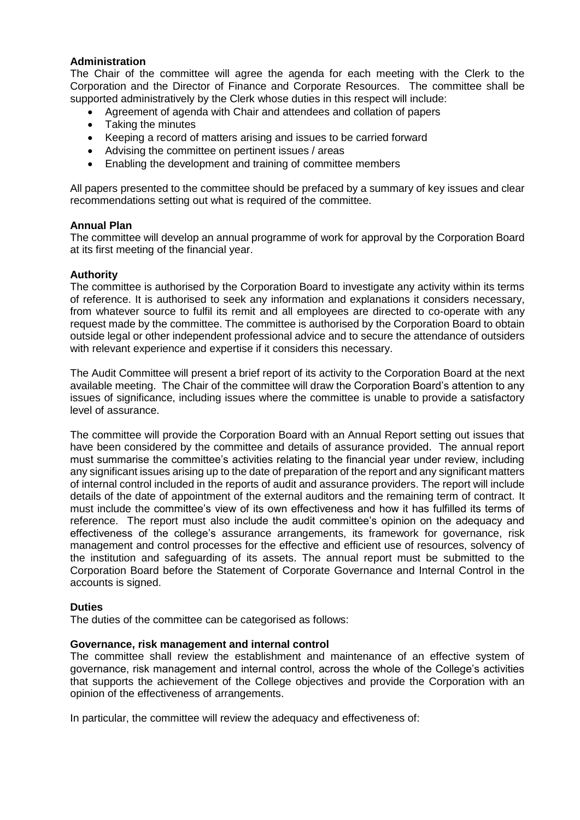## **Administration**

The Chair of the committee will agree the agenda for each meeting with the Clerk to the Corporation and the Director of Finance and Corporate Resources. The committee shall be supported administratively by the Clerk whose duties in this respect will include:

- Agreement of agenda with Chair and attendees and collation of papers
- Taking the minutes
- Keeping a record of matters arising and issues to be carried forward
- Advising the committee on pertinent issues / areas
- Enabling the development and training of committee members

All papers presented to the committee should be prefaced by a summary of key issues and clear recommendations setting out what is required of the committee.

## **Annual Plan**

The committee will develop an annual programme of work for approval by the Corporation Board at its first meeting of the financial year.

# **Authority**

The committee is authorised by the Corporation Board to investigate any activity within its terms of reference. It is authorised to seek any information and explanations it considers necessary, from whatever source to fulfil its remit and all employees are directed to co-operate with any request made by the committee. The committee is authorised by the Corporation Board to obtain outside legal or other independent professional advice and to secure the attendance of outsiders with relevant experience and expertise if it considers this necessary.

The Audit Committee will present a brief report of its activity to the Corporation Board at the next available meeting. The Chair of the committee will draw the Corporation Board's attention to any issues of significance, including issues where the committee is unable to provide a satisfactory level of assurance.

The committee will provide the Corporation Board with an Annual Report setting out issues that have been considered by the committee and details of assurance provided. The annual report must summarise the committee's activities relating to the financial year under review, including any significant issues arising up to the date of preparation of the report and any significant matters of internal control included in the reports of audit and assurance providers. The report will include details of the date of appointment of the external auditors and the remaining term of contract. It must include the committee's view of its own effectiveness and how it has fulfilled its terms of reference. The report must also include the audit committee's opinion on the adequacy and effectiveness of the college's assurance arrangements, its framework for governance, risk management and control processes for the effective and efficient use of resources, solvency of the institution and safeguarding of its assets. The annual report must be submitted to the Corporation Board before the Statement of Corporate Governance and Internal Control in the accounts is signed.

# **Duties**

The duties of the committee can be categorised as follows:

### **Governance, risk management and internal control**

The committee shall review the establishment and maintenance of an effective system of governance, risk management and internal control, across the whole of the College's activities that supports the achievement of the College objectives and provide the Corporation with an opinion of the effectiveness of arrangements.

In particular, the committee will review the adequacy and effectiveness of: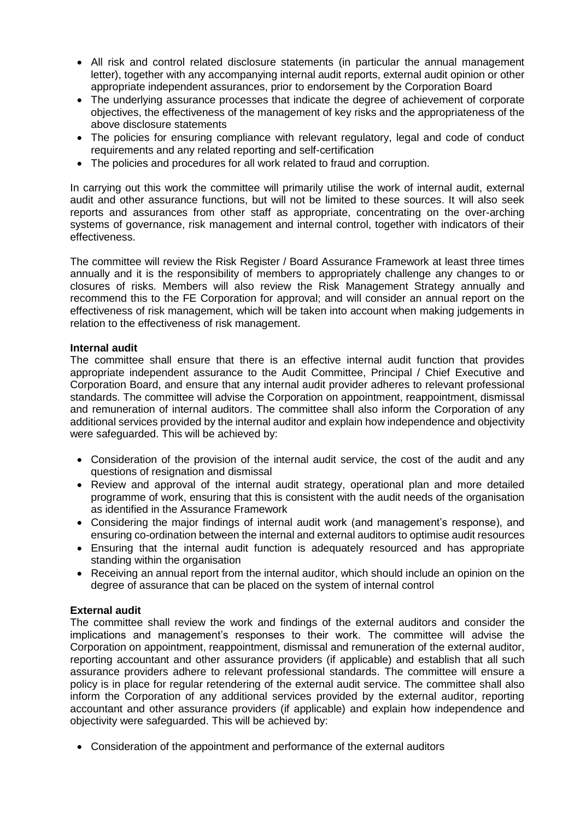- All risk and control related disclosure statements (in particular the annual management letter), together with any accompanying internal audit reports, external audit opinion or other appropriate independent assurances, prior to endorsement by the Corporation Board
- The underlying assurance processes that indicate the degree of achievement of corporate objectives, the effectiveness of the management of key risks and the appropriateness of the above disclosure statements
- The policies for ensuring compliance with relevant regulatory, legal and code of conduct requirements and any related reporting and self-certification
- The policies and procedures for all work related to fraud and corruption.

In carrying out this work the committee will primarily utilise the work of internal audit, external audit and other assurance functions, but will not be limited to these sources. It will also seek reports and assurances from other staff as appropriate, concentrating on the over-arching systems of governance, risk management and internal control, together with indicators of their effectiveness.

The committee will review the Risk Register / Board Assurance Framework at least three times annually and it is the responsibility of members to appropriately challenge any changes to or closures of risks. Members will also review the Risk Management Strategy annually and recommend this to the FE Corporation for approval; and will consider an annual report on the effectiveness of risk management, which will be taken into account when making judgements in relation to the effectiveness of risk management.

### **Internal audit**

The committee shall ensure that there is an effective internal audit function that provides appropriate independent assurance to the Audit Committee, Principal / Chief Executive and Corporation Board, and ensure that any internal audit provider adheres to relevant professional standards. The committee will advise the Corporation on appointment, reappointment, dismissal and remuneration of internal auditors. The committee shall also inform the Corporation of any additional services provided by the internal auditor and explain how independence and objectivity were safeguarded. This will be achieved by:

- Consideration of the provision of the internal audit service, the cost of the audit and any questions of resignation and dismissal
- Review and approval of the internal audit strategy, operational plan and more detailed programme of work, ensuring that this is consistent with the audit needs of the organisation as identified in the Assurance Framework
- Considering the major findings of internal audit work (and management's response), and ensuring co-ordination between the internal and external auditors to optimise audit resources
- Ensuring that the internal audit function is adequately resourced and has appropriate standing within the organisation
- Receiving an annual report from the internal auditor, which should include an opinion on the degree of assurance that can be placed on the system of internal control

# **External audit**

The committee shall review the work and findings of the external auditors and consider the implications and management's responses to their work. The committee will advise the Corporation on appointment, reappointment, dismissal and remuneration of the external auditor, reporting accountant and other assurance providers (if applicable) and establish that all such assurance providers adhere to relevant professional standards. The committee will ensure a policy is in place for regular retendering of the external audit service. The committee shall also inform the Corporation of any additional services provided by the external auditor, reporting accountant and other assurance providers (if applicable) and explain how independence and objectivity were safeguarded. This will be achieved by:

• Consideration of the appointment and performance of the external auditors